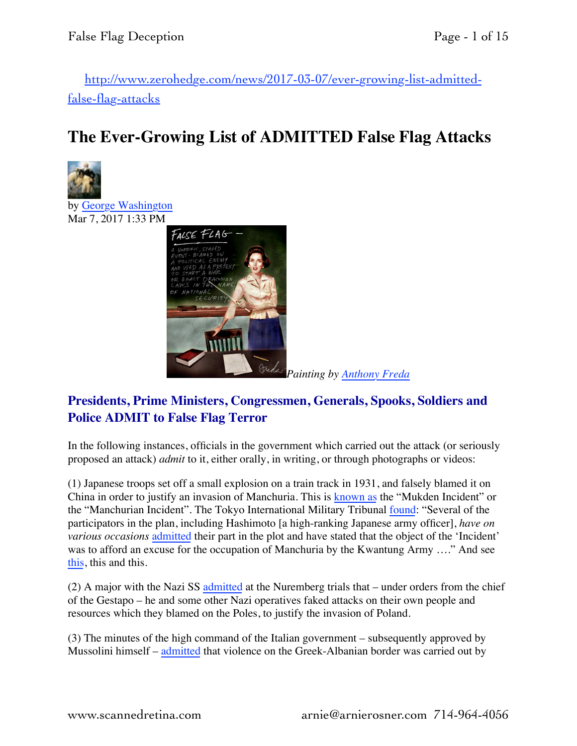[http://www.zerohedge.com/news/2017-03-07/ever-growing-list-admitted](http://www.zerohedge.com/news/2017-03-07/ever-growing-list-admitted-false-flag-attacks)[false-flag-attacks](http://www.zerohedge.com/news/2017-03-07/ever-growing-list-admitted-false-flag-attacks)

## **The Ever-Growing List of ADMITTED False Flag Attacks**



by [George Washington](http://www.zerohedge.com/users/george-washington) Mar 7, 2017 1:33 PM



## **Presidents, Prime Ministers, Congressmen, Generals, Spooks, Soldiers and Police ADMIT to False Flag Terror**

In the following instances, officials in the government which carried out the attack (or seriously proposed an attack) *admit* to it, either orally, in writing, or through photographs or videos:

(1) Japanese troops set off a small explosion on a train track in 1931, and falsely blamed it on China in order to justify an invasion of Manchuria. This is [known as](http://en.wikipedia.org/wiki/Mukden_Incident) the "Mukden Incident" or the "Manchurian Incident". The Tokyo International Military Tribunal [found:](https://books.google.com/books?id=rHainkH7pdEC&pg=PA321&dq=%22Several+of+the+participators+in+the+plan,+including+Hashimoto,+have+on+various+occasions+admitted+their+part+in+the+plot+and+have+stated+that+the+object%22&hl=en&sa=X&ei=NrOtVLiQGsm6ogT49oCQAg&ved=0CB8Q6AEwAA#v=onepage&q=%22Several%20of%20the%20participators%20in%20the%20plan%2C%20including%20Hashimoto%2C%20have%20on%20various%20occasions%20admitted%20their%20part%20in%20the%20plot%20and%20have%20stated%20that%20the%20object%22&f=false) "Several of the participators in the plan, including Hashimoto [a high-ranking Japanese army officer], *have on various occasions* [admitted](https://books.google.com/books?id=rHainkH7pdEC&pg=PA321&dq=%22Several+of+the+participators+in+the+plan,+including+Hashimoto,+have+on+various+occasions+admitted+their+part+in+the+plot+and+have+stated+that+the+object%22&hl=en&sa=X&ei=NrOtVLiQGsm6ogT49oCQAg&ved=0CB8Q6AEwAA#v=onepage&q=%22Several%20of%20the%20participators%20in%20the%20plan%2C%20including%20Hashimoto%2C%20have%20on%20various%20occasions%20admitted%20their%20part%20in%20the%20plot%20and%20have%20stated%20that%20the%20object%22&f=false) their part in the plot and have stated that the object of the 'Incident' was to afford an excuse for the occupation of Manchuria by the Kwantung Army …." And see [this](http://imtfe.law.virginia.edu/collections/morgan/2/5/newspaper-article-titled-ex-jap-army-leader-tells-mukden-plot), this and this.

(2) A major with the Nazi SS [admitted](http://en.wikipedia.org/wiki/Gleiwitz_incident) at the Nuremberg trials that – under orders from the chief of the Gestapo – he and some other Nazi operatives faked attacks on their own people and resources which they blamed on the Poles, to justify the invasion of Poland.

(3) The minutes of the high command of the Italian government – subsequently approved by Mussolini himself – [admitted](http://www.amazon.com/The-hollow-legions-Mussolinis-1940-1941/dp/B0006CKCQE) that violence on the Greek-Albanian border was carried out by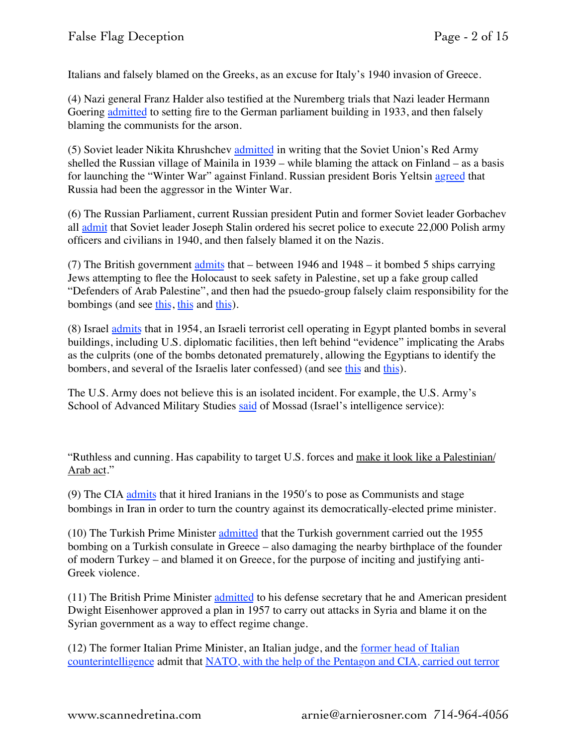Italians and falsely blamed on the Greeks, as an excuse for Italy's 1940 invasion of Greece.

(4) Nazi general Franz Halder also testified at the Nuremberg trials that Nazi leader Hermann Goering [admitted](http://en.wikipedia.org/wiki/Hermann_G%C3%B6ring#Possible_responsibility_for_the_Reichstag_fire) to setting fire to the German parliament building in 1933, and then falsely blaming the communists for the arson.

(5) Soviet leader Nikita Khrushchev [admitted](https://en.wikipedia.org/wiki/Shelling_of_Mainila) in writing that the Soviet Union's Red Army shelled the Russian village of Mainila in 1939 – while blaming the attack on Finland – as a basis for launching the "Winter War" against Finland. Russian president Boris Yeltsin [agreed](https://en.wikipedia.org/wiki/Shelling_of_Mainila) that Russia had been the aggressor in the Winter War.

(6) The Russian Parliament, current Russian president Putin and former Soviet leader Gorbachev all [admit](http://www.theguardian.com/world/2010/nov/26/russian-parliament-guilt-katyn-massacre) that Soviet leader Joseph Stalin ordered his secret police to execute 22,000 Polish army officers and civilians in 1940, and then falsely blamed it on the Nazis.

(7) The British government [admits](http://www.thedailybeast.com/articles/2010/09/19/mi6-attacked-jewish-refugee-ships-after-wwii.html) that – between 1946 and 1948 – it bombed 5 ships carrying Jews attempting to flee the Holocaust to seek safety in Palestine, set up a fake group called "Defenders of Arab Palestine", and then had the psuedo-group falsely claim responsibility for the bombings (and see [this](http://www.bbc.co.uk/news/uk-11378601), [this](http://www.thejc.com/news/uk-news/38520/operation-embarrass-you-bet-britains-secret-war-jews) and this).

(8) Israel [admits](http://www.ynetnews.com/Ext/Comp/ArticleLayout/CdaArticlePrintPreview/1,2506,L-3065838,00.html#n) that in 1954, an Israeli terrorist cell operating in Egypt planted bombs in several buildings, including U.S. diplomatic facilities, then left behind "evidence" implicating the Arabs as the culprits (one of the bombs detonated prematurely, allowing the Egyptians to identify the bombers, and several of the Israelis later confessed) (and see [this](http://www.stanford.edu/group/SHR/5-1/text/beinin.html) and [this](http://www.jewishvirtuallibrary.org/jsource/History/lavon.html)).

The U.S. Army does not believe this is an isolated incident. For example, the U.S. Army's School of Advanced Military Studies [said](http://www.washingtontimes.com/news/2001/sep/10/20010910-025319-6906r/) of Mossad (Israel's intelligence service):

"Ruthless and cunning. Has capability to target U.S. forces and make it look like a Palestinian/ Arab act."

(9) The CIA [admits](http://www.nytimes.com/library/world/mideast/041600iran-cia-index.html) that it hired Iranians in the 1950ʹs to pose as Communists and stage bombings in Iran in order to turn the country against its democratically-elected prime minister.

(10) The Turkish Prime Minister [admitted](http://books.google.com/books?id=SdubdhMwM1YC&pg=PA8&lpg=PA8&dq=the+riots+were+purportedly+in+response+to+a+september+5+1955+greek+bombing+attack+on+the+turkish+consulate&source=bl&ots=O7OKEmcJrF&sig=y4vdM7vHk8Z8g1jH4gXDHTXw400&hl=en&sa=X&ei=z2lKVIuEII3wgwTZ04HICA&ved=0CCQQ6AEwAQ#v=onepage&q=the%20riots%20were%20purportedly%20in%20response%20to%20a%20september%205%201955%20greek%20bombing%20attack%20on%20the%20turkish%20consulate&f=false) that the Turkish government carried out the 1955 bombing on a Turkish consulate in Greece – also damaging the nearby birthplace of the founder of modern Turkey – and blamed it on Greece, for the purpose of inciting and justifying anti-Greek violence.

(11) The British Prime Minister [admitted](http://www.washingtonsblog.com/2014/07/57-years-ago-u-s-britain-approved-use-islamic-extremists-topple-syrian-government.html) to his defense secretary that he and American president Dwight Eisenhower approved a plan in 1957 to carry out attacks in Syria and blame it on the Syrian government as a way to effect regime change.

(12) The former Italian Prime Minister, an Italian judge, and the [former head of Italian](http://www.guardian.co.uk/international/story/0,3604,462976,00.html)  [counterintelligence](http://www.guardian.co.uk/international/story/0,3604,462976,00.html) admit that [NATO, with the help of the Pentagon and CIA, carried out terror](http://en.wikipedia.org/wiki/Strategy_of_tension)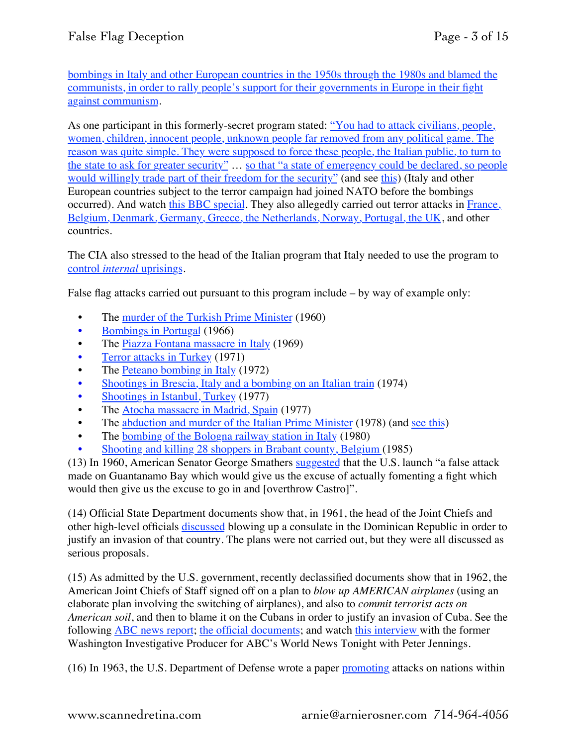[bombings in Italy and other European countries in the 1950s through the 1980s and blamed the](http://en.wikipedia.org/wiki/Strategy_of_tension)  [communists, in order to rally people's support for their governments in Europe in their fight](http://en.wikipedia.org/wiki/Strategy_of_tension)  [against communism](http://en.wikipedia.org/wiki/Strategy_of_tension).

As one participant in this formerly-secret program stated: ["You had to attack civilians, people,](http://web.archive.org/web/20051130003012/http://www.isn.ethz.ch/php/documents/collection_gladio/synopsis.htm)  [women, children, innocent people, unknown people far removed from any political game. The](http://web.archive.org/web/20051130003012/http://www.isn.ethz.ch/php/documents/collection_gladio/synopsis.htm)  [reason was quite simple. They were supposed to force these people, the Italian public, to turn to](http://web.archive.org/web/20051130003012/http://www.isn.ethz.ch/php/documents/collection_gladio/synopsis.htm)  [the state to ask for greater security"](http://web.archive.org/web/20051130003012/http://www.isn.ethz.ch/php/documents/collection_gladio/synopsis.htm) … [so that "a state of emergency could be declared, so people](https://video.search.yahoo.com/yhs/search;_ylt=AwrTca_5q89UIAwAVlsnnIlQ;_ylu=X3oDMTB0MzkwOG5yBHNlYwNzYwRjb2xvA2dxMQR2dGlkA1lIUzAwNF8x?p=bbc+gladio&hspart=mozilla&hsimp=yhs-001)  [would willingly trade part of their freedom for the security"](https://video.search.yahoo.com/yhs/search;_ylt=AwrTca_5q89UIAwAVlsnnIlQ;_ylu=X3oDMTB0MzkwOG5yBHNlYwNzYwRjb2xvA2dxMQR2dGlkA1lIUzAwNF8x?p=bbc+gladio&hspart=mozilla&hsimp=yhs-001) (and see [this\)](http://www.globalresearch.ca/articles/GAN412A.html) (Italy and other European countries subject to the terror campaign had joined NATO before the bombings occurred). And watch [this BBC special.](https://video.search.yahoo.com/yhs/search;_ylt=AwrTca_5q89UIAwAVlsnnIlQ;_ylu=X3oDMTB0MzkwOG5yBHNlYwNzYwRjb2xvA2dxMQR2dGlkA1lIUzAwNF8x?p=bbc+gladio&hspart=mozilla&hsimp=yhs-001) They also allegedly carried out terror attacks in [France,](http://en.wikipedia.org/wiki/Operation_Gladio)  [Belgium, Denmark, Germany, Greece, the Netherlands, Norway, Portugal, the UK,](http://en.wikipedia.org/wiki/Operation_Gladio) and other countries.

The CIA also stressed to the head of the Italian program that Italy needed to use the program to [control](https://video.search.yahoo.com/yhs/search;_ylt=AwrTca_5q89UIAwAVlsnnIlQ;_ylu=X3oDMTB0MzkwOG5yBHNlYwNzYwRjb2xvA2dxMQR2dGlkA1lIUzAwNF8x?p=bbc+gladio&hspart=mozilla&hsimp=yhs-001) *[internal](https://video.search.yahoo.com/yhs/search;_ylt=AwrTca_5q89UIAwAVlsnnIlQ;_ylu=X3oDMTB0MzkwOG5yBHNlYwNzYwRjb2xvA2dxMQR2dGlkA1lIUzAwNF8x?p=bbc+gladio&hspart=mozilla&hsimp=yhs-001)* [uprisings.](https://video.search.yahoo.com/yhs/search;_ylt=AwrTca_5q89UIAwAVlsnnIlQ;_ylu=X3oDMTB0MzkwOG5yBHNlYwNzYwRjb2xvA2dxMQR2dGlkA1lIUzAwNF8x?p=bbc+gladio&hspart=mozilla&hsimp=yhs-001)

False flag attacks carried out pursuant to this program include – by way of example only:

- The [murder of the Turkish Prime Minister](http://web.archive.org/web/20051130122600/http://www.isn.ethz.ch/php/documents/collection_gladio/chronology.htm) (1960)
- [Bombings in Portugal](http://web.archive.org/web/20051130122600/http://www.isn.ethz.ch/php/documents/collection_gladio/chronology.htm) (1966)
- The [Piazza Fontana massacre in Italy](http://web.archive.org/web/20051130122600/http://www.isn.ethz.ch/php/documents/collection_gladio/chronology.htm) (1969)
- [Terror attacks in Turkey](http://web.archive.org/web/20051130122600/http://www.isn.ethz.ch/php/documents/collection_gladio/chronology.htm) (1971)
- The [Peteano bombing in Italy](http://web.archive.org/web/20051130122600/http://www.isn.ethz.ch/php/documents/collection_gladio/chronology.htm) (1972)
- [Shootings in Brescia, Italy and a bombing on an Italian train](http://web.archive.org/web/20051130122600/http://www.isn.ethz.ch/php/documents/collection_gladio/chronology.htm) (1974)
- [Shootings in Istanbul, Turkey](http://web.archive.org/web/20051130122600/http://www.isn.ethz.ch/php/documents/collection_gladio/chronology.htm) (1977)
- The [Atocha massacre in Madrid, Spain](http://web.archive.org/web/20051130122600/http://www.isn.ethz.ch/php/documents/collection_gladio/chronology.htm) (1977)
- The [abduction and murder of the Italian Prime Minister](http://web.archive.org/web/20051130122600/http://www.isn.ethz.ch/php/documents/collection_gladio/chronology.htm) (1978) (and [see this\)](http://www.telegraph.co.uk/news/worldnews/1581425/US-envoy-admits-role-in-Aldo-Moro-killing.html)
- The [bombing of the Bologna railway station in Italy](http://web.archive.org/web/20051130122600/http://www.isn.ethz.ch/php/documents/collection_gladio/chronology.htm) (1980)
- [Shooting and killing 28 shoppers in Brabant county, Belgium \(](http://web.archive.org/web/20051130122600/http://www.isn.ethz.ch/php/documents/collection_gladio/chronology.htm)1985)

(13) In 1960, American Senator George Smathers [suggested](http://www.guardian.co.uk/theguardian/2012/aug/17/john-f-kennedy-fidel-castro) that the U.S. launch "a false attack made on Guantanamo Bay which would give us the excuse of actually fomenting a fight which would then give us the excuse to go in and [overthrow Castro]".

(14) Official State Department documents show that, in 1961, the head of the Joint Chiefs and other high-level officials [discussed](http://www.washingtonsblog.com/2010/02/nine-months-before-operation-northwoods-government-leaders-suggested-false-flag-terror-in-the-dominican-republic.html) blowing up a consulate in the Dominican Republic in order to justify an invasion of that country. The plans were not carried out, but they were all discussed as serious proposals.

(15) As admitted by the U.S. government, recently declassified documents show that in 1962, the American Joint Chiefs of Staff signed off on a plan to *blow up AMERICAN airplanes* (using an elaborate plan involving the switching of airplanes), and also to *commit terrorist acts on American soil*, and then to blame it on the Cubans in order to justify an invasion of Cuba. See the following [ABC news report;](http://abcnews.go.com/US/story?id=92662&page=1) [the official documents;](http://www.gwu.edu/%7Ensarchiv/news/20010430/northwoods.pdf) and watch [this interview w](http://www.youtube.com/watch?v=IygchZRJVXM)ith the former Washington Investigative Producer for ABC's World News Tonight with Peter Jennings.

(16) In 1963, the U.S. Department of Defense wrote a paper [promoting](http://en.wikipedia.org/wiki/Operation_Northwoods#Related_Operation_Mongoose_proposals) attacks on nations within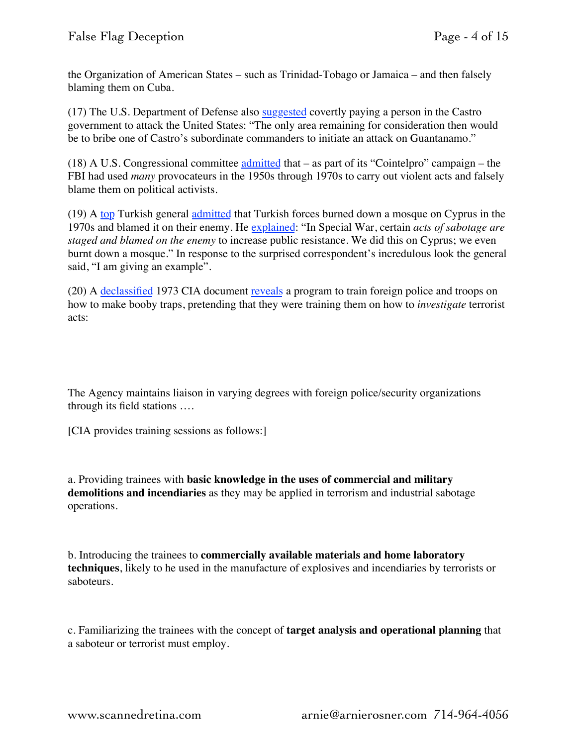the Organization of American States – such as Trinidad-Tobago or Jamaica – and then falsely blaming them on Cuba.

(17) The U.S. Department of Defense also [suggested](http://en.wikipedia.org/wiki/Operation_Northwoods#Related_Operation_Mongoose_proposals) covertly paying a person in the Castro government to attack the United States: "The only area remaining for consideration then would be to bribe one of Castro's subordinate commanders to initiate an attack on Guantanamo."

(18) A U.S. Congressional committee  $admitted that – as part of its "Cointelpro" campaign – the$ </u> FBI had used *many* provocateurs in the 1950s through 1970s to carry out violent acts and falsely blame them on political activists.

(19) A [top](http://en.wikipedia.org/wiki/Sabri_Yirmibe%C5%9Fo%C4%9Flu) Turkish general [admitted](http://www.hurriyetdailynews.com/default.aspx?pageid=438&n=turkey-burned-mosque-during-cyprus-war-gen-says-2010-09-24) that Turkish forces burned down a mosque on Cyprus in the 1970s and blamed it on their enemy. He [explained:](http://www.todayszaman.com/tz-web/news-222544-100-retired-general-confesses-to-burning-mosque-to-fire-up-public.html) "In Special War, certain *acts of sabotage are staged and blamed on the enemy* to increase public resistance. We did this on Cyprus; we even burnt down a mosque." In response to the surprised correspondent's incredulous look the general said, "I am giving an example".

(20) A [declassified](http://nsarchive.gwu.edu/NSAEBB/NSAEBB222/) 1973 CIA document [reveals](http://nsarchive.gwu.edu/NSAEBB/NSAEBB222/top10.pdf) a program to train foreign police and troops on how to make booby traps, pretending that they were training them on how to *investigate* terrorist acts:

The Agency maintains liaison in varying degrees with foreign police/security organizations through its field stations ….

[CIA provides training sessions as follows:]

a. Providing trainees with **basic knowledge in the uses of commercial and military demolitions and incendiaries** as they may be applied in terrorism and industrial sabotage operations.

b. Introducing the trainees to **commercially available materials and home laboratory techniques**, likely to he used in the manufacture of explosives and incendiaries by terrorists or saboteurs.

c. Familiarizing the trainees with the concept of **target analysis and operational planning** that a saboteur or terrorist must employ.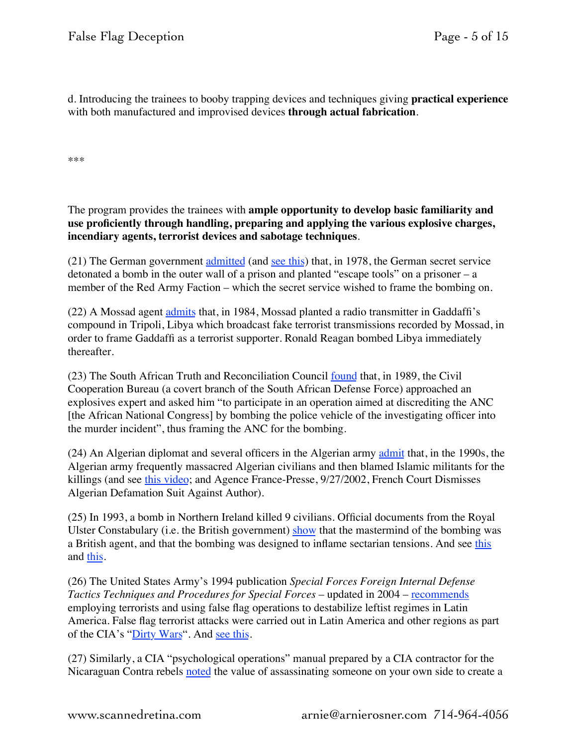d. Introducing the trainees to booby trapping devices and techniques giving **practical experience** with both manufactured and improvised devices **through actual fabrication**.

\*\*\*

The program provides the trainees with **ample opportunity to develop basic familiarity and use proficiently through handling, preparing and applying the various explosive charges, incendiary agents, terrorist devices and sabotage techniques**.

(21) The German government [admitted](https://en.wikipedia.org/wiki/Celle_Hole) (and [see this\)](http://translate.google.com/translate?hl=en&sl=de&u=http://www.ndr.de/kultur/geschichte/chronologie/cellerloch102.html&prev=/search%3Fq%3Dhttp://www.ndr.de/kultur/geschichte/cellerloch102.html%26client%3Dfirefox-a%26hs%3DymV%26rls%3Dorg.mozilla:en-US:official%26channel%3Dsb) that, in 1978, the German secret service detonated a bomb in the outer wall of a prison and planted "escape tools" on a prisoner – a member of the Red Army Faction – which the secret service wished to frame the bombing on.

(22) A Mossad agent [admits](http://www.amazon.com/Way-Deception-Victor-Ostrovsky-ebook/dp/B002RL9NL2/ref=sr_1_1?s=books&ie=UTF8&qid=1422773938&sr=1-1) that, in 1984, Mossad planted a radio transmitter in Gaddaffi's compound in Tripoli, Libya which broadcast fake terrorist transmissions recorded by Mossad, in order to frame Gaddaffi as a terrorist supporter. Ronald Reagan bombed Libya immediately thereafter.

(23) The South African Truth and Reconciliation Council [found](http://www.justice.gov.za/trc/decisions%5C2001/ac21233.htm) that, in 1989, the Civil Cooperation Bureau (a covert branch of the South African Defense Force) approached an explosives expert and asked him "to participate in an operation aimed at discrediting the ANC [the African National Congress] by bombing the police vehicle of the investigating officer into the murder incident", thus framing the ANC for the bombing.

(24) An Algerian diplomat and several officers in the Algerian army [admit](https://web.archive.org/web/20100223012552/http://www.encyclopedia.com/doc/1P1-68004301.html) that, in the 1990s, the Algerian army frequently massacred Algerian civilians and then blamed Islamic militants for the killings (and see [this video;](https://youtu.be/2om_F2uaCxA&feature=player_embedded) and Agence France-Presse, 9/27/2002, French Court Dismisses Algerian Defamation Suit Against Author).

(25) In 1993, a bomb in Northern Ireland killed 9 civilians. Official documents from the Royal Ulster Constabulary (i.e. the British government) [show](http://www.independent.co.uk/news/uk/home-news/shankill-road-bombing-mi5-ignored-ira-tip-off-that-could-have-prevent-belfast-atrocity-investigation-a6833541.html) that the mastermind of the bombing was a British agent, and that the bombing was designed to inflame sectarian tensions. And see [this](http://www.theguardian.com/uk/2002/jul/06/northernireland.politics) and [this.](https://www.highbeam.com/doc/1P2-9989807.html)

(26) The United States Army's 1994 publication *Special Forces Foreign Internal Defense Tactics Techniques and Procedures for Special Forces* – updated in 2004 – [recommends](http://wikileaks.org/wiki/US_Special_Forces_Foreign_Internal_Defense_Tactics_Techniques_and_Procedures_for_Special_Forces,_FM_31.20-3,_2003) employing terrorists and using false flag operations to destabilize leftist regimes in Latin America. False flag terrorist attacks were carried out in Latin America and other regions as part of the CIA's ["Dirty Wars"](http://en.wikipedia.org/wiki/Dirty_War_%28disambiguation%29). And [see this.](http://en.wikipedia.org/wiki/Dirty_War#False_flag_actions_by_SIDE_agents)

(27) Similarly, a CIA "psychological operations" manual prepared by a CIA contractor for the Nicaraguan Contra rebels [noted](https://consortiumnews.com/2015/03/02/playing-chicken-with-nuclear-war/) the value of assassinating someone on your own side to create a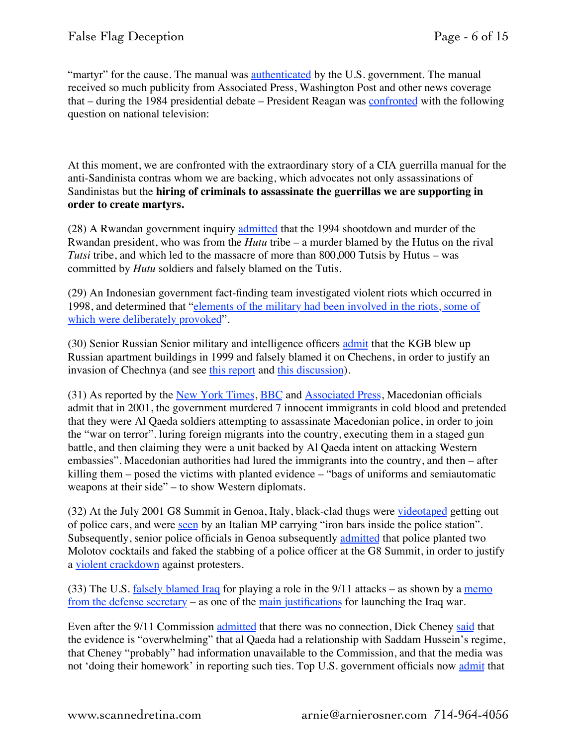"martyr" for the cause. The manual was [authenticated](http://en.wikipedia.org/wiki/Psychological_Operations_in_Guerrilla_Warfare#Political_reaction) by the U.S. government. The manual received so much publicity from Associated Press, Washington Post and other news coverage that – during the 1984 presidential debate – President Reagan was [confronted](http://www.debates.org/index.php?page=october-21-1984-debate-transcript) with the following question on national television:

At this moment, we are confronted with the extraordinary story of a CIA guerrilla manual for the anti-Sandinista contras whom we are backing, which advocates not only assassinations of Sandinistas but the **hiring of criminals to assassinate the guerrillas we are supporting in order to create martyrs.**

(28) A Rwandan government inquiry [admitted](https://www.theguardian.com/world/2010/jan/12/rwanda-hutu-president-plane-inquiry) that the 1994 shootdown and murder of the Rwandan president, who was from the *Hutu* tribe – a murder blamed by the Hutus on the rival *Tutsi* tribe, and which led to the massacre of more than 800,000 Tutsis by Hutus – was committed by *Hutu* soldiers and falsely blamed on the Tutis.

(29) An Indonesian government fact-finding team investigated violent riots which occurred in 1998, and determined that "[elements of the military had been involved in the riots, some of](http://www.fas.org/irp/world/indonesia/indonesia-1998.htm)  [which were deliberately provoked"](http://www.fas.org/irp/world/indonesia/indonesia-1998.htm).

(30) Senior Russian Senior military and intelligence officers [admit](http://web.archive.org/web/20060209100406/http://www.telegraph.co.uk/news/main.jhtml?xml=/news/2004/01/13/wrus13.xml) that the KGB blew up Russian apartment buildings in 1999 and falsely blamed it on Chechens, in order to justify an invasion of Chechnya (and see [this report](http://web.archive.org/web/20080413195430/http://www.sais-jhu.edu/programs/res/papers/Satter_edited_final.pdf) and [this discussion\)](http://en.wikipedia.org/wiki/Russian_Apartment_Bombings).

(31) As reported by the [New York Times](http://www.nytimes.com/2004/05/17/international/europe/17mace.html?th=&pagewanted=all&position=), [BBC](http://news.bbc.co.uk/2/hi/europe/3674533.stm) and [Associated Press,](http://www.highbeam.com/doc/1P1-94026683.html) Macedonian officials admit that in 2001, the government murdered 7 innocent immigrants in cold blood and pretended that they were Al Qaeda soldiers attempting to assassinate Macedonian police, in order to join the "war on terror". luring foreign migrants into the country, executing them in a staged gun battle, and then claiming they were a unit backed by Al Qaeda intent on attacking Western embassies". Macedonian authorities had lured the immigrants into the country, and then – after killing them – posed the victims with planted evidence – "bags of uniforms and semiautomatic weapons at their side" – to show Western diplomats.

(32) At the July 2001 G8 Summit in Genoa, Italy, black-clad thugs were [videotaped](http://www.theguardian.com/world/2001/jul/23/globalisation.davidpallister) getting out of police cars, and were [seen](http://www.theguardian.com/world/2001/jul/23/globalisation.davidpallister) by an Italian MP carrying "iron bars inside the police station". Subsequently, senior police officials in Genoa subsequently [admitted](https://web.archive.org/web/20030207160903/http://www.fair.org/activism/genoa-update.html) that police planted two Molotov cocktails and faked the stabbing of a police officer at the G8 Summit, in order to justify a [violent crackdown](http://www.theguardian.com/world/2010/may/19/g8-italian-police-sentenced) against protesters.

(33) The U.S. [falsely blamed Iraq](http://www.washingtonsblog.com/2012/10/5-hours-after-the-911-attacks-donald-rumsfeld-said-my-interest-is-to-hit-saddam-he-also-said-go-massive-sweep-it-all-up-things-related-and-not-and-at-2.html) for playing a role in the 9/11 attacks – as shown by a [memo](http://www.washingtonsblog.com/2013/02/newly-released-memos-of-donald-rumsfeld-prove-knowing-iraq-war.html)  [from the defense secretary](http://www.washingtonsblog.com/2013/02/newly-released-memos-of-donald-rumsfeld-prove-knowing-iraq-war.html) – as one of the [main justifications](http://www.washingtonsblog.com/2012/10/5-hours-after-the-911-attacks-donald-rumsfeld-said-my-interest-is-to-hit-saddam-he-also-said-go-massive-sweep-it-all-up-things-related-and-not-and-at-2.html) for launching the Iraq war.

Even after the 9/11 Commission [admitted](http://www.msnbc.msn.com/id/5223932/ns/us_news-security/t/panel-sees-no-link-between-iraq-al-qaida/#.UIde6fWUxqI) that there was no connection, Dick Cheney [said](http://www.cnn.com/2004/ALLPOLITICS/06/18/cheney.iraq.al.qaeda/) that the evidence is "overwhelming" that al Qaeda had a relationship with Saddam Hussein's regime, that Cheney "probably" had information unavailable to the Commission, and that the media was not 'doing their homework' in reporting such ties. Top U.S. government officials now [admit](http://www.washingtonsblog.com/2013/03/top-republican-leaders-say-iraq-war-was-really-for-oil.html) that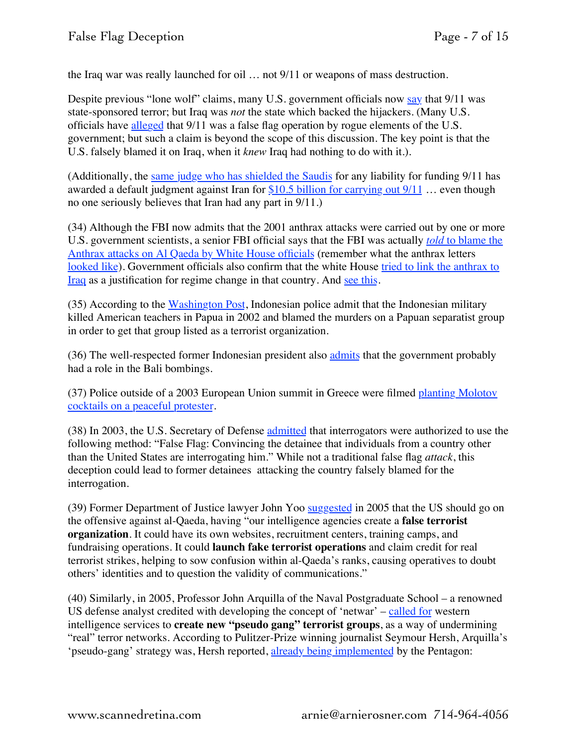the Iraq war was really launched for oil … not 9/11 or weapons of mass destruction.

Despite previous "lone wolf" claims, many U.S. government officials now [say](http://www.washingtonsblog.com/2012/09/government-officials-say-911-was-state-sponsored-terrorism-but-disagree-about-which-nation-was-behind-attacks.html) that 9/11 was state-sponsored terror; but Iraq was *not* the state which backed the hijackers. (Many U.S. officials have [alleged](http://patriotsquestion911.com/) that 9/11 was a false flag operation by rogue elements of the U.S. government; but such a claim is beyond the scope of this discussion. The key point is that the U.S. falsely blamed it on Iraq, when it *knew* Iraq had nothing to do with it.).

(Additionally, the [same judge who has shielded the Saudis](http://www.washingtonsblog.com/2016/03/u-s-government-blames-911-iran-fines-iran-10-5b-iran-refuses-pay.html) for any liability for funding 9/11 has awarded a default judgment against Iran for  $$10.5$  billion for carrying out  $9/11$  ... even though no one seriously believes that Iran had any part in 9/11.)

(34) Although the FBI now admits that the 2001 anthrax attacks were carried out by one or more U.S. government scientists, a senior FBI official says that the FBI was actually *[told](http://www.nydailynews.com/news/us_world/2008/08/02/2008-08-02_fbi_was_told_to_blame_anthrax_scare_on_a.html)* [to blame the](http://www.nydailynews.com/news/us_world/2008/08/02/2008-08-02_fbi_was_told_to_blame_anthrax_scare_on_a.html)  [Anthrax attacks on Al Qaeda by White House officials](http://www.nydailynews.com/news/us_world/2008/08/02/2008-08-02_fbi_was_told_to_blame_anthrax_scare_on_a.html) (remember what the anthrax letters [looked like\)](http://3.bp.blogspot.com/_MnYI3_FRbbQ/SJLfMP7mkrI/AAAAAAAAA94/irML20mNYDA/s400/anthrax.jpg). Government officials also confirm that the white House [tried to link the anthrax to](http://www.nytimes.com/2001/12/22/national/22INQU.html?pagewanted=all)  [Iraq](http://www.nytimes.com/2001/12/22/national/22INQU.html?pagewanted=all) as a justification for regime change in that country. And [see this.](http://www.washingtonsblog.com/2014/10/anthrax-dark-winter.html)

(35) According to the [Washington Post](http://www.highbeam.com/doc/1P2-406202.html), Indonesian police admit that the Indonesian military killed American teachers in Papua in 2002 and blamed the murders on a Papuan separatist group in order to get that group listed as a terrorist organization.

(36) The well-respected former Indonesian president also [admits](http://www.smh.com.au/news/National/Possible-police-role-in-2002-Bali-attack/2005/10/12/1128796591857.html) that the government probably had a role in the Bali bombings.

(37) Police outside of a 2003 European Union summit in Greece were filmed [planting Molotov](http://news.bbc.co.uk/2/hi/uk_news/magazine/3136382.stm)  [cocktails on a peaceful protester.](http://news.bbc.co.uk/2/hi/uk_news/magazine/3136382.stm)

(38) In 2003, the U.S. Secretary of Defense [admitted](http://nsarchive.gwu.edu/NSAEBB/NSAEBB127/03.04.16.pdf) that interrogators were authorized to use the following method: "False Flag: Convincing the detainee that individuals from a country other than the United States are interrogating him." While not a traditional false flag *attack*, this deception could lead to former detainees attacking the country falsely blamed for the interrogation.

(39) Former Department of Justice lawyer John Yoo [suggested](http://www.aei.org/publication/fighting-the-new-terrorism-2/) in 2005 that the US should go on the offensive against al-Qaeda, having "our intelligence agencies create a **false terrorist organization**. It could have its own websites, recruitment centers, training camps, and fundraising operations. It could **launch fake terrorist operations** and claim credit for real terrorist strikes, helping to sow confusion within al-Qaeda's ranks, causing operatives to doubt others' identities and to question the validity of communications."

(40) Similarly, in 2005, Professor John Arquilla of the Naval Postgraduate School – a renowned US defense analyst credited with developing the concept of 'netwar' – [called for](http://www.newyorker.com/magazine/2005/01/24/the-coming-wars) western intelligence services to **create new "pseudo gang" terrorist groups**, as a way of undermining "real" terror networks. According to Pulitzer-Prize winning journalist Seymour Hersh, Arquilla's 'pseudo-gang' strategy was, Hersh reported, [already being implemented](http://www.newyorker.com/magazine/2005/01/24/the-coming-wars) by the Pentagon: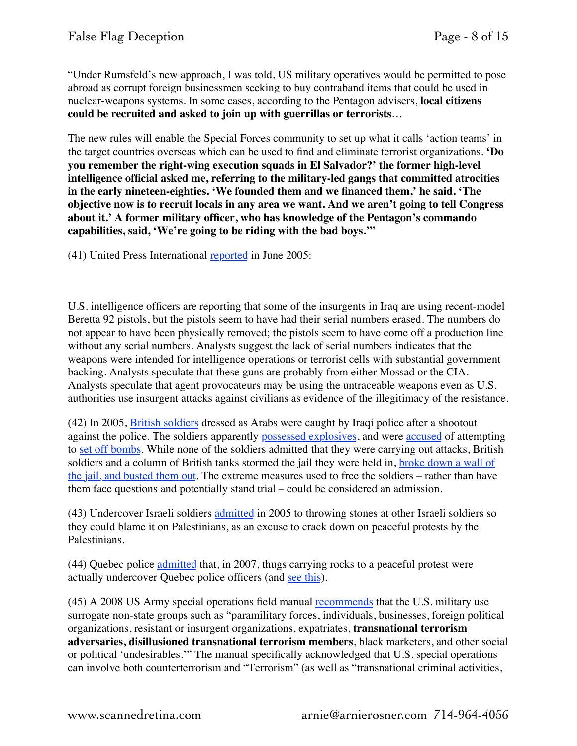"Under Rumsfeld's new approach, I was told, US military operatives would be permitted to pose abroad as corrupt foreign businessmen seeking to buy contraband items that could be used in nuclear-weapons systems. In some cases, according to the Pentagon advisers, **local citizens could be recruited and asked to join up with guerrillas or terrorists**…

The new rules will enable the Special Forces community to set up what it calls 'action teams' in the target countries overseas which can be used to find and eliminate terrorist organizations. **'Do you remember the right-wing execution squads in El Salvador?' the former high-level intelligence official asked me, referring to the military-led gangs that committed atrocities in the early nineteen-eighties. 'We founded them and we financed them,' he said. 'The objective now is to recruit locals in any area we want. And we aren't going to tell Congress about it.' A former military officer, who has knowledge of the Pentagon's commando capabilities, said, 'We're going to be riding with the bad boys.'"**

(41) United Press International [reported](http://www.upi.com/Business_News/Security-Industry/2005/06/03/UPI-hears/UPI-64911117829623/) in June 2005:

U.S. intelligence officers are reporting that some of the insurgents in Iraq are using recent-model Beretta 92 pistols, but the pistols seem to have had their serial numbers erased. The numbers do not appear to have been physically removed; the pistols seem to have come off a production line without any serial numbers. Analysts suggest the lack of serial numbers indicates that the weapons were intended for intelligence operations or terrorist cells with substantial government backing. Analysts speculate that these guns are probably from either Mossad or the CIA. Analysts speculate that agent provocateurs may be using the untraceable weapons even as U.S. authorities use insurgent attacks against civilians as evidence of the illegitimacy of the resistance.

(42) In 2005, [British soldiers](https://cdn.liveleak.com/80281E/ll_a_s/2015/Nov/21/LiveLeak-dot-com-750_1448148049-Li3LUXT_1448148058.jpg?d5e8cc8eccfb6039332f41f6249e92b06c91b4db65f5e99818bdd29f4e4cd9d011ce&ec_rate=230) dressed as Arabs were caught by Iraqi police after a shootout against the police. The soldiers apparently [possessed explosives,](http://www.globalresearch.ca/iraqi-mp-accuses-british-forces-in-basra-of-terrorism/983) and were [accused](http://www.washingtonpost.com/wp-dyn/content/article/2005/09/19/AR2005091900572.html) of attempting to [set off bombs.](https://socialistworker.co.uk/art/7249/Why+Basra+is+in+revolt+against+occupation) While none of the soldiers admitted that they were carrying out attacks, British soldiers and a column of British tanks stormed the jail they were held in, broke down a wall of [the jail, and busted them out.](http://www.scotsman.com/news/world/british-tanks-in-smash-and-grab-raid-1-1096576) The extreme measures used to free the soldiers – rather than have them face questions and potentially stand trial – could be considered an admission.

(43) Undercover Israeli soldiers [admitted](http://mondoweiss.net/2012/05/operation-glass-houses-idf-agent-provocateurs-admit-to-throwing-stones-at-the-idf-in-bilin/) in 2005 to throwing stones at other Israeli soldiers so they could blame it on Palestinians, as an excuse to crack down on peaceful protests by the Palestinians.

(44) Quebec police [admitted](http://www.youtube.com/watch?v=gAfzUOx53Rg) that, in 2007, thugs carrying rocks to a peaceful protest were actually undercover Quebec police officers (and [see this\)](http://www.cbc.ca/news/canada/quebec-police-admit-they-went-undercover-at-montebello-protest-1.656171).

(45) A 2008 US Army special operations field manual [recommends](https://medium.com/@NafeezAhmed/why-google-made-the-nsa-2a80584c9c1) that the U.S. military use surrogate non-state groups such as "paramilitary forces, individuals, businesses, foreign political organizations, resistant or insurgent organizations, expatriates, **transnational terrorism adversaries, disillusioned transnational terrorism members**, black marketers, and other social or political 'undesirables.'" The manual specifically acknowledged that U.S. special operations can involve both counterterrorism and "Terrorism" (as well as "transnational criminal activities,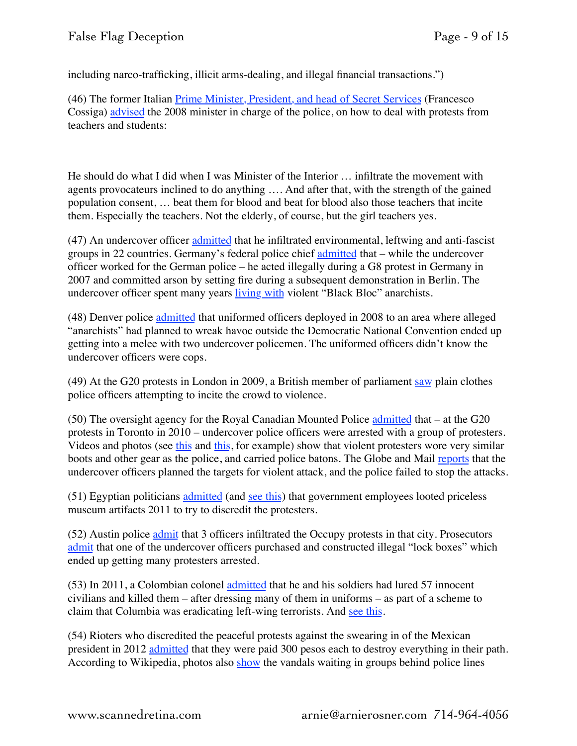including narco-trafficking, illicit arms-dealing, and illegal financial transactions.")

(46) The former Italian [Prime Minister, President, and head of Secret Services](https://en.wikipedia.org/wiki/Francesco_Cossiga) (Francesco Cossiga) [advised](http://translate.google.com/translate?hl=en&sl=it&u=http://rassegna.governo.it/testo.asp%3Fd%3D32976406&prev=search) the 2008 minister in charge of the police, on how to deal with protests from teachers and students:

He should do what I did when I was Minister of the Interior … infiltrate the movement with agents provocateurs inclined to do anything …. And after that, with the strength of the gained population consent, … beat them for blood and beat for blood also those teachers that incite them. Especially the teachers. Not the elderly, of course, but the girl teachers yes.

(47) An undercover officer [admitted](https://www.theguardian.com/environment/2011/nov/13/undercover-policeman-admits-spying-danish-activists) that he infiltrated environmental, leftwing and anti-fascist groups in 22 countries. Germany's federal police chief [admitted](https://www.theguardian.com/environment/2011/jan/26/mark-kennedy-german-bundestag) that – while the undercover officer worked for the German police – he acted illegally during a G8 protest in Germany in 2007 and committed arson by setting fire during a subsequent demonstration in Berlin. The undercover officer spent many years [living with](https://www.theguardian.com/environment/2011/jan/26/mark-kennedy-german-bundestag) violent "Black Bloc" anarchists.

(48) Denver police [admitted](http://www.denverpost.com/2008/11/06/undercover-cops-were-among-the-unruly-at-dnc/) that uniformed officers deployed in 2008 to an area where alleged "anarchists" had planned to wreak havoc outside the Democratic National Convention ended up getting into a melee with two undercover policemen. The uniformed officers didn't know the undercover officers were cops.

(49) At the G20 protests in London in 2009, a British member of parliament [saw](http://www.guardian.co.uk/politics/2009/may/10/g20-policing-agent-provacateurs) plain clothes police officers attempting to incite the crowd to violence.

(50) The oversight agency for the Royal Canadian Mounted Police [admitted](http://www.cbc.ca/news/politics/g20-report-clears-rcmp-but-raises-questions-over-kettling-1.1150680) that – at the G20 protests in Toronto in 2010 – undercover police officers were arrested with a group of protesters. Videos and photos (see [this](http://www.globalresearch.ca/the-toronto-g20-riot-fraud-undercover-police-engaged-in-purposeful-provocation/19928) and [this,](https://www.youtube.com/watch?v=TbLU9tdDwxo) for example) show that violent protesters wore very similar boots and other gear as the police, and carried police batons. The Globe and Mail [reports](http://www.theglobeandmail.com/news/toronto/undercover-officers-knew-of-plans-for-downtown-mayhem-during-g20/article555130/?page=all) that the undercover officers planned the targets for violent attack, and the police failed to stop the attacks.

(51) Egyptian politicians [admitted](http://www.washingtonsblog.com/2011/01/prominent-former-egyptian-mp-and-presidential-candidate-the-looting-of-the-cairo-museum-was-carried-out-by-government-employees.html) (and [see this](http://www.washingtonsblog.com/2011/02/washington-post-confirms-that-egyptian-looters-were-agents-provocateur.html)) that government employees looted priceless museum artifacts 2011 to try to discredit the protesters.

(52) Austin police [admit](http://www.chron.com/news/houston-texas/article/Undercover-Austin-police-officers-aided-Houston-3841846.php) that 3 officers infiltrated the Occupy protests in that city. Prosecutors [admit](http://www.chron.com/news/houston-texas/article/Undercover-Austin-police-officers-aided-Houston-3841846.php) that one of the undercover officers purchased and constructed illegal "lock boxes" which ended up getting many protesters arrested.

(53) In 2011, a Colombian colonel [admitted](http://www.bbc.com/news/world-latin-america-14149676) that he and his soldiers had lured 57 innocent civilians and killed them – after dressing many of them in uniforms – as part of a scheme to claim that Columbia was eradicating left-wing terrorists. And [see this.](http://articles.latimes.com/2012/jun/14/world/la-fg-colombia-false-positives-20120614)

(54) Rioters who discredited the peaceful protests against the swearing in of the Mexican president in 2012 [admitted](http://translate.google.com/translate?hl=en&sl=es&u=http://www.proceso.com.mx/%3Fp%3D326818&prev=search) that they were paid 300 pesos each to destroy everything in their path. According to Wikipedia, photos also [show](http://en.wikipedia.org/wiki/Agent_provocateur#Mexico) the vandals waiting in groups behind police lines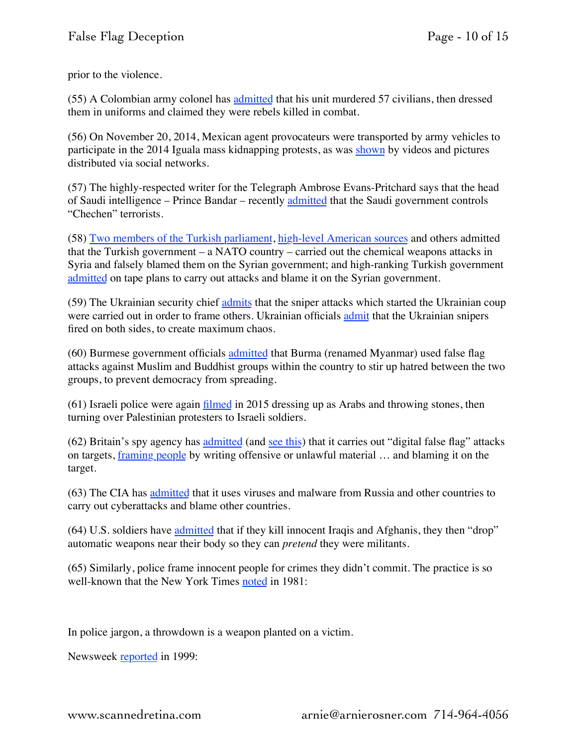prior to the violence.

(55) A Colombian army colonel has [admitted](http://www.bbc.co.uk/news/world-latin-america-14149676) that his unit murdered 57 civilians, then dressed them in uniforms and claimed they were rebels killed in combat.

(56) On November 20, 2014, Mexican agent provocateurs were transported by army vehicles to participate in the 2014 Iguala mass kidnapping protests, as was [shown](http://aristeguinoticias.com/2111/mexico/identifican-en-redes-a-encapuchados-antes-de-la-marcha-en-df/) by videos and pictures distributed via social networks.

(57) The highly-respected writer for the Telegraph Ambrose Evans-Pritchard says that the head of Saudi intelligence – Prince Bandar – recently [admitted](http://www.telegraph.co.uk/finance/newsbysector/energy/oilandgas/10266957/Saudis-offer-Russia-secret-oil-deal-if-it-drops-Syria.html) that the Saudi government controls "Chechen" terrorists.

(58) [Two members of the Turkish parliament](http://www.washingtonsblog.com/2015/12/syrian-chemical-weapons-attack-false-flag-turkey-isis.html), [high-level American sources](http://www.washingtonsblog.com/2014/04/nato-member-conducts-false-flag-terror-try-whip-war.html) and others admitted that the Turkish government – a NATO country – carried out the chemical weapons attacks in Syria and falsely blamed them on the Syrian government; and high-ranking Turkish government [admitted](http://www.washingtonsblog.com/2014/04/nato-member-conducts-false-flag-terror-try-whip-war.html) on tape plans to carry out attacks and blame it on the Syrian government.

(59) The Ukrainian security chief [admits](http://www.washingtonsblog.com/2014/03/former-ukranian-security-chief-alleges-new-government-behind-sniper-attacks.html) that the sniper attacks which started the Ukrainian coup were carried out in order to frame others. Ukrainian officials [admit](http://www.washingtonsblog.com/2015/02/kiev-snipers-everyone-agrees-fired-sides.html) that the Ukrainian snipers fired on both sides, to create maximum chaos.

(60) Burmese government officials [admitted](http://www.aljazeera.com/indepth/features/2015/10/myanmar-secret-agents-playing-dirty-tricks-151027085402365.html) that Burma (renamed Myanmar) used false flag attacks against Muslim and Buddhist groups within the country to stir up hatred between the two groups, to prevent democracy from spreading.

 $(61)$  Israeli police were again [filmed](https://correspondent.afp.com/those-disguised-arabs) in 2015 dressing up as Arabs and throwing stones, then turning over Palestinian protesters to Israeli soldiers.

(62) Britain's spy agency has [admitted](http://www.washingtonsblog.com/2014/02/nsa-engaged-internet-false-flag-attacks.html) (and [see this\)](http://www.washingtonsblog.com/2014/02/false-flags-honey-traps.html) that it carries out "digital false flag" attacks on targets, [framing people](http://www.washingtonsblog.com/2014/07/spy-agencies-dirty-trick-powers-revealed-snowden.html) by writing offensive or unlawful material … and blaming it on the target.

(63) The CIA has [admitted](http://www.washingtonsblog.com/2017/03/leaked-cia-document-cia-uses-false-flag-cyberattacks-blame-russian-hackers.html) that it uses viruses and malware from Russia and other countries to carry out cyberattacks and blame other countries.

(64) U.S. soldiers have [admitted](http://www.youtube.com/watch?v=SODTI_C1q_Q) that if they kill innocent Iraqis and Afghanis, they then "drop" automatic weapons near their body so they can *pretend* they were militants.

(65) Similarly, police frame innocent people for crimes they didn't commit. The practice is so well-known that the New York Times [noted](http://www.nytimes.com/1981/03/11/movies/tv-the-killing-of-randy-webster.html) in 1981:

In police jargon, a throwdown is a weapon planted on a victim.

Newsweek **reported** in 1999: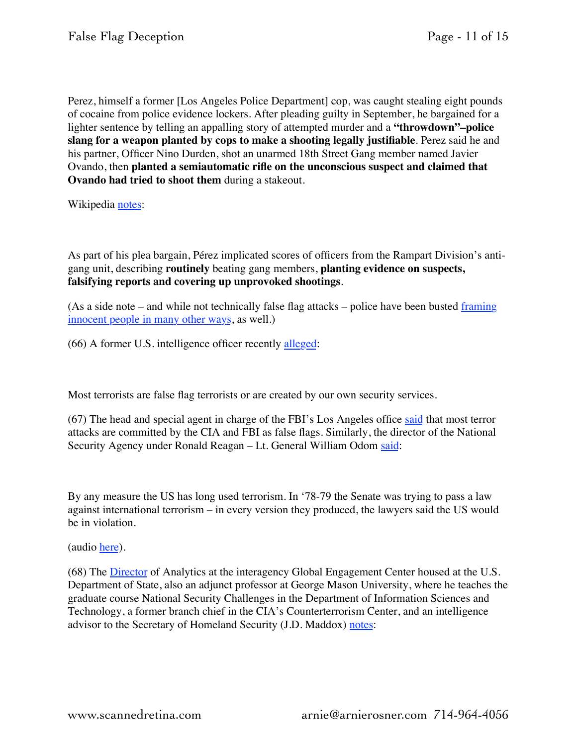Perez, himself a former [Los Angeles Police Department] cop, was caught stealing eight pounds of cocaine from police evidence lockers. After pleading guilty in September, he bargained for a lighter sentence by telling an appalling story of attempted murder and a **"throwdown"–police slang for a weapon planted by cops to make a shooting legally justifiable**. Perez said he and his partner, Officer Nino Durden, shot an unarmed 18th Street Gang member named Javier Ovando, then **planted a semiautomatic rifle on the unconscious suspect and claimed that Ovando had tried to shoot them** during a stakeout.

Wikipedia [notes](http://en.wikipedia.org/wiki/Community_Resources_Against_Street_Hoodlums#Rampart_Division_CRASH_scandal):

As part of his plea bargain, Pérez implicated scores of officers from the Rampart Division's antigang unit, describing **routinely** beating gang members, **planting evidence on suspects, falsifying reports and covering up unprovoked shootings**.

(As a side note – and while not technically false flag attacks – police have been busted [framing](http://www.washingtonsblog.com/2015/03/police-frame-innocent-people.html)  [innocent people in many other ways,](http://www.washingtonsblog.com/2015/03/police-frame-innocent-people.html) as well.)

(66) A former U.S. intelligence officer recently [alleged](http://www.washingtonsblog.com/2015/03/steele-every-single-terrorist-attack-u-s-false-flag-egged-intelligence-services.html):

Most terrorists are false flag terrorists or are created by our own security services.

(67) The head and special agent in charge of the FBI's Los Angeles office [said](http://www.youtube.com/watch?v=YZ2VpfUqRoo&feature=player_embedded) that most terror attacks are committed by the CIA and FBI as false flags. Similarly, the director of the National Security Agency under Ronald Reagan – Lt. General William Odom [said:](http://hammernews.com/odomspeech.htm)

By any measure the US has long used terrorism. In '78-79 the Senate was trying to pass a law against international terrorism – in every version they produced, the lawyers said the US would be in violation.

(audio [here](http://hammernews.com/odom.ram)).

(68) The [Director](https://www.linkedin.com/in/jd-maddox-27b36abb) of Analytics at the interagency Global Engagement Center housed at the U.S. Department of State, also an adjunct professor at George Mason University, where he teaches the graduate course National Security Challenges in the Department of Information Sciences and Technology, a former branch chief in the CIA's Counterterrorism Center, and an intelligence advisor to the Secretary of Homeland Security (J.D. Maddox) [notes](http://journals.gmu.edu/NandC/article/download/601/1170):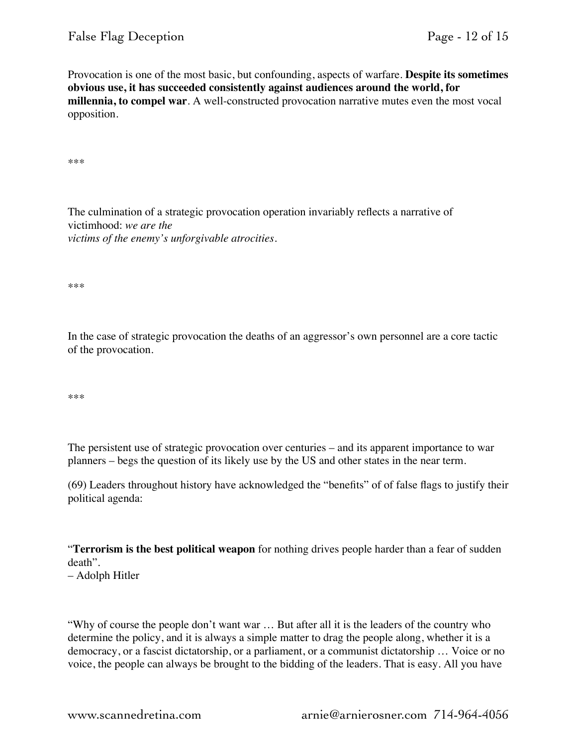Provocation is one of the most basic, but confounding, aspects of warfare. **Despite its sometimes obvious use, it has succeeded consistently against audiences around the world, for millennia, to compel war**. A well-constructed provocation narrative mutes even the most vocal opposition.

\*\*\*

The culmination of a strategic provocation operation invariably reflects a narrative of victimhood: *we are the victims of the enemy's unforgivable atrocities*.

\*\*\*

In the case of strategic provocation the deaths of an aggressor's own personnel are a core tactic of the provocation.

\*\*\*

The persistent use of strategic provocation over centuries – and its apparent importance to war planners – begs the question of its likely use by the US and other states in the near term.

(69) Leaders throughout history have acknowledged the "benefits" of of false flags to justify their political agenda:

"**Terrorism is the best political weapon** for nothing drives people harder than a fear of sudden death".

– Adolph Hitler

"Why of course the people don't want war … But after all it is the leaders of the country who determine the policy, and it is always a simple matter to drag the people along, whether it is a democracy, or a fascist dictatorship, or a parliament, or a communist dictatorship … Voice or no voice, the people can always be brought to the bidding of the leaders. That is easy. All you have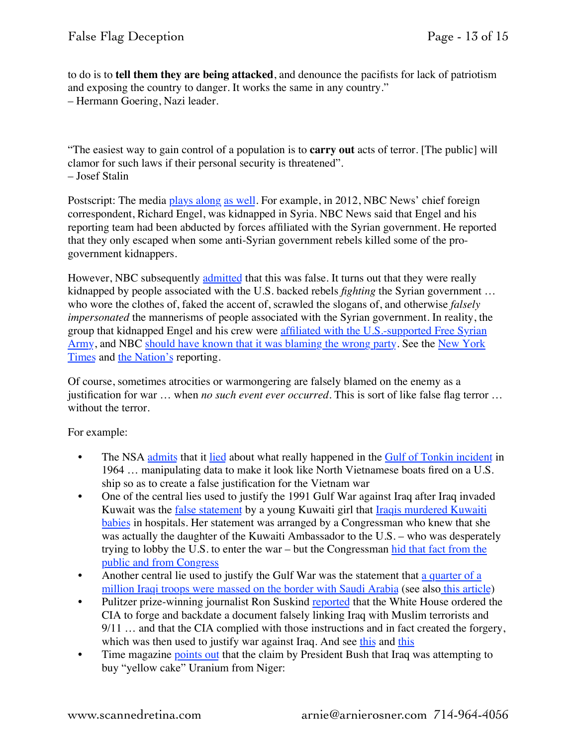to do is to **tell them they are being attacked**, and denounce the pacifists for lack of patriotism and exposing the country to danger. It works the same in any country." – Hermann Goering, Nazi leader.

"The easiest way to gain control of a population is to **carry out** acts of terror. [The public] will clamor for such laws if their personal security is threatened". – Josef Stalin

Postscript: The media [plays along](http://www.washingtonsblog.com/2015/01/propaganda.html) [as well](http://www.washingtonsblog.com/2015/02/u-s-reporters-always-pro-war.html). For example, in 2012, NBC News' chief foreign correspondent, Richard Engel, was kidnapped in Syria. NBC News said that Engel and his reporting team had been abducted by forces affiliated with the Syrian government. He reported that they only escaped when some anti-Syrian government rebels killed some of the progovernment kidnappers.

However, NBC subsequently [admitted](http://www.nbcnews.com/news/world/new-details-2012-kidnapping-nbc-news-team-syria-n342356) that this was false. It turns out that they were really kidnapped by people associated with the U.S. backed rebels *fighting* the Syrian government … who wore the clothes of, faked the accent of, scrawled the slogans of, and otherwise *falsely impersonated* the mannerisms of people associated with the Syrian government. In reality, the group that kidnapped Engel and his crew were [affiliated with the U.S.-supported Free Syrian](https://theintercept.com/2015/04/16/nbcs-conduct-richard-engel-kidnapping-serious-brian-williams-scandal/)  [Army,](https://theintercept.com/2015/04/16/nbcs-conduct-richard-engel-kidnapping-serious-brian-williams-scandal/) and NBC [should have known that it was blaming the wrong party.](https://theintercept.com/2015/04/16/nbcs-conduct-richard-engel-kidnapping-serious-brian-williams-scandal/) See the [New York](http://www.nytimes.com/2015/04/16/business/media/nbc-news-alters-account-of-correspondents-kidnapping-in-syria.html?_r=0)  [Times](http://www.nytimes.com/2015/04/16/business/media/nbc-news-alters-account-of-correspondents-kidnapping-in-syria.html?_r=0) and [the Nation's](http://www.thenation.com/article/how-nbc-knowingly-let-syria-rebels-false-war-propaganda-stand-years/) reporting.

Of course, sometimes atrocities or warmongering are falsely blamed on the enemy as a justification for war … when *no such event ever occurred*. This is sort of like false flag terror … without the terror.

For example:

- The NSA [admits](http://www2.gwu.edu/%7Ensarchiv/NSAEBB/NSAEBB132/press20051201.htm) that it [lied](http://web.archive.org/web/20080203204207/http://rawstory.com/news/afp/Report_reveals_Vietnam_War_hoaxes_f_01082008.html) about what really happened in the [Gulf of Tonkin incident](http://en.wikipedia.org/wiki/Gulf_of_Tonkin_incident) in 1964 … manipulating data to make it look like North Vietnamese boats fired on a U.S. ship so as to create a false justification for the Vietnam war
- One of the central lies used to justify the 1991 Gulf War against Iraq after Iraq invaded Kuwait was the [false statement](https://en.wikipedia.org/wiki/Nayirah_%28testimony%29) by a young Kuwaiti girl that Iraqis murdered Kuwaiti [babies](http://www.csmonitor.com/2002/0906/p25s02-cogn.html) in hospitals. Her statement was arranged by a Congressman who knew that she was actually the daughter of the Kuwaiti Ambassador to the U.S. – who was desperately trying to lobby the U.S. to enter the war – but the Congressman [hid that fact from the](http://www.nytimes.com/1992/01/15/opinion/deception-on-capitol-hill.html)  [public and from Congress](http://www.nytimes.com/1992/01/15/opinion/deception-on-capitol-hill.html)
- Another central lie used to justify the Gulf War was the statement that a quarter of a [million Iraqi troops were massed on the border with Saudi Arabia](http://web.archive.org/web/20040628010553/http://foi.missouri.edu/polinfoprop/nocasusbelli.html) (see also [this article](http://www.sptimes.com/2003/03/15/Worldandnation/US_satellites_won_t_b.shtml))
- Pulitzer prize-winning journalist Ron Suskind [reported](http://www.politico.com/news/stories/0808/12308.html) that the White House ordered the CIA to forge and backdate a document falsely linking Iraq with Muslim terrorists and 9/11 ... and that the CIA complied with those instructions and in fact created the forgery, which was then used to justify war against Iraq. And see [this](http://www.washingtonsblog.com/2014/12/u-s-pressured-czech-government-falsely-claim-911-hijacker-met-iraqi.html) and this
- Time magazine [points out](http://www.time.com/time/columnist/karon/article/0,9565,463779,00.html) that the claim by President Bush that Iraq was attempting to buy "yellow cake" Uranium from Niger: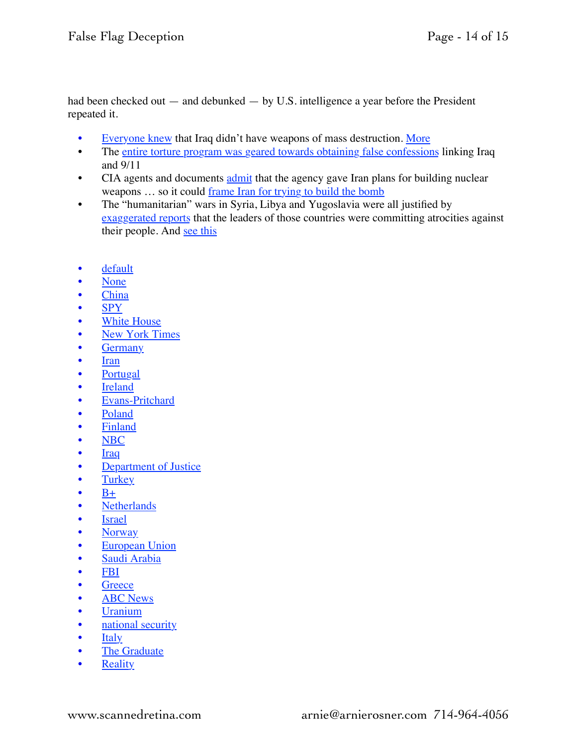had been checked out — and debunked — by U.S. intelligence a year before the President repeated it.

- [Everyone knew](http://www.washingtonsblog.com/2009/11/everyone-knew-that-iraq-didnt-have-wmds.html) that Iraq didn't have weapons of mass destruction. [More](http://www.washingtonsblog.com/2012/10/5-hours-after-the-911-attacks-donald-rumsfeld-said-my-interest-is-to-hit-saddam-he-also-said-go-massive-sweep-it-all-up-things-related-and-not-and-at-2.html)
- The [entire torture program was geared towards obtaining false confessions](http://www.washingtonsblog.com/2014/12/doesnt-mainstream-media-discuss-torture-issue.html) linking Iraq and 9/11
- CIA agents and documents [admit](https://en.wikipedia.org/wiki/Operation_Merlin) that the agency gave Iran plans for building nuclear weapons ... so it could [frame Iran for trying to build the bomb](http://www.washingtonsblog.com/2015/02/u-s-israel-busted-lying-irans-nuclear-program.html)
- The "humanitarian" wars in Syria, Libya and Yugoslavia were all justified by [exaggerated reports](http://www.washingtonsblog.com/2016/03/hillary-clinton-big-warmonger-bush-cheney.html) that the leaders of those countries were committing atrocities against their people. And [see this](http://www.nzherald.co.nz/world/news/article.cfm?c_id=2&objectid=10734384)
- [default](http://www.zerohedge.com/taxonomy/term/7)
- [None](http://www.zerohedge.com/taxonomy/term/118)
- [China](http://www.zerohedge.com/taxonomy/term/139)
- [SPY](http://www.zerohedge.com/taxonomy/term/148)
- [White House](http://www.zerohedge.com/taxonomy/term/223)
- [New York Times](http://www.zerohedge.com/category/tags/new-york-times)
- [Germany](http://www.zerohedge.com/taxonomy/term/8300)
- **[Iran](http://www.zerohedge.com/taxonomy/term/8419)**
- **[Portugal](http://www.zerohedge.com/taxonomy/term/8729)**
- **[Ireland](http://www.zerohedge.com/taxonomy/term/9119)**
- [Evans-Pritchard](http://www.zerohedge.com/category/tags/evans-pritchard)
- [Poland](http://www.zerohedge.com/category/tags/poland)
- **[Finland](http://www.zerohedge.com/category/tags/finland)**
- [NBC](http://www.zerohedge.com/category/tags/nbc)
- **[Iraq](http://www.zerohedge.com/category/tags/iraq)**
- **[Department of Justice](http://www.zerohedge.com/category/tags/department-justice)**
- [Turkey](http://www.zerohedge.com/category/tags/turkey)
- $B+$
- [Netherlands](http://www.zerohedge.com/category/tags/netherlands)
- [Israel](http://www.zerohedge.com/category/tags/israel)
- [Norway](http://www.zerohedge.com/category/tags/norway)
- [European Union](http://www.zerohedge.com/category/tags/european-union)
- [Saudi Arabia](http://www.zerohedge.com/category/tags/saudi-arabia)
- [FBI](http://www.zerohedge.com/category/tags/fbi)
- [Greece](http://www.zerohedge.com/category/tags/greece)
- **[ABC News](http://www.zerohedge.com/category/tags/abc-news)**
- [Uranium](http://www.zerohedge.com/category/tags/uranium)
- [national security](http://www.zerohedge.com/category/tags/national-security)
- **[Italy](http://www.zerohedge.com/category/tags/italy)**
- [The Graduate](http://www.zerohedge.com/category/tags/-graduate)
- **[Reality](http://www.zerohedge.com/category/tags/reality)**